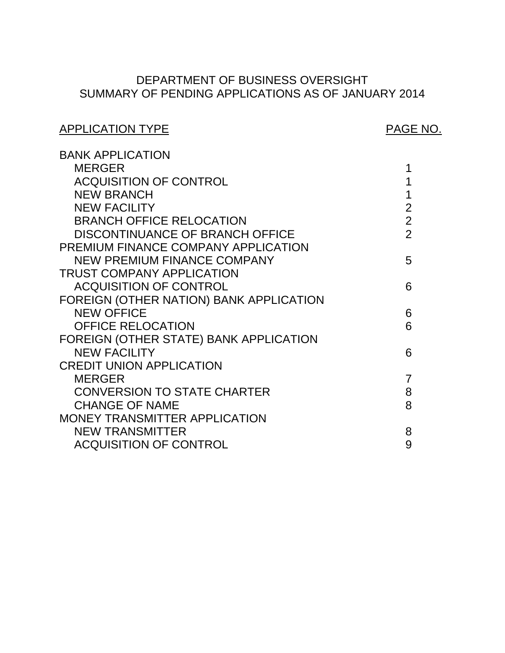# SUMMARY OF PENDING APPLICATIONS AS OF JANUARY 2014 DEPARTMENT OF BUSINESS OVERSIGHT

# APPLICATION TYPE APPLICATION TYPE

| <b>BANK APPLICATION</b>                 |                |
|-----------------------------------------|----------------|
| <b>MERGER</b>                           | 1              |
| <b>ACQUISITION OF CONTROL</b>           | 1              |
| <b>NEW BRANCH</b>                       | 1              |
| <b>NEW FACILITY</b>                     | $\overline{2}$ |
| <b>BRANCH OFFICE RELOCATION</b>         | $\overline{2}$ |
| <b>DISCONTINUANCE OF BRANCH OFFICE</b>  | $\overline{2}$ |
| PREMIUM FINANCE COMPANY APPLICATION     |                |
| <b>NEW PREMIUM FINANCE COMPANY</b>      | 5              |
| <b>TRUST COMPANY APPLICATION</b>        |                |
| <b>ACQUISITION OF CONTROL</b>           | 6              |
| FOREIGN (OTHER NATION) BANK APPLICATION |                |
| <b>NEW OFFICE</b>                       | 6              |
| <b>OFFICE RELOCATION</b>                | 6              |
| FOREIGN (OTHER STATE) BANK APPLICATION  |                |
| <b>NEW FACILITY</b>                     | 6              |
| <b>CREDIT UNION APPLICATION</b>         |                |
| <b>MERGER</b>                           | 7              |
| <b>CONVERSION TO STATE CHARTER</b>      | 8              |
| <b>CHANGE OF NAME</b>                   | 8              |
| MONEY TRANSMITTER APPLICATION           |                |
| <b>NEW TRANSMITTER</b>                  | 8              |
| <b>ACQUISITION OF CONTROL</b>           | 9              |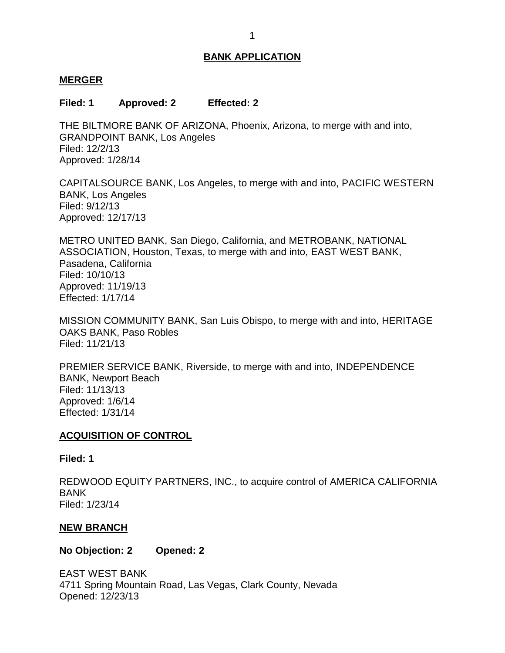#### <span id="page-1-0"></span>**MERGER**

#### **Filed: 1 Approved: 2 Effected: 2**

 THE BILTMORE BANK OF ARIZONA, Phoenix, Arizona, to merge with and into, GRANDPOINT BANK, Los Angeles Filed: 12/2/13 Approved: 1/28/14

 CAPITALSOURCE BANK, Los Angeles, to merge with and into, PACIFIC WESTERN BANK, Los Angeles Filed: 9/12/13 Approved: 12/17/13

 METRO UNITED BANK, San Diego, California, and METROBANK, NATIONAL ASSOCIATION, Houston, Texas, to merge with and into, EAST WEST BANK, Pasadena, California Filed: 10/10/13 Approved: 11/19/13 Effected: 1/17/14

 MISSION COMMUNITY BANK, San Luis Obispo, to merge with and into, HERITAGE OAKS BANK, Paso Robles Filed: 11/21/13

 PREMIER SERVICE BANK, Riverside, to merge with and into, INDEPENDENCE BANK, Newport Beach Filed: 11/13/13 Approved: 1/6/14 Effected: 1/31/14

#### **ACQUISITION OF CONTROL**

#### **Filed: 1**

 REDWOOD EQUITY PARTNERS, INC., to acquire control of AMERICA CALIFORNIA BANK Filed: 1/23/14

#### **NEW BRANCH**

**No Objection: 2 Opened: 2** 

 EAST WEST BANK 4711 Spring Mountain Road, Las Vegas, Clark County, Nevada Opened: 12/23/13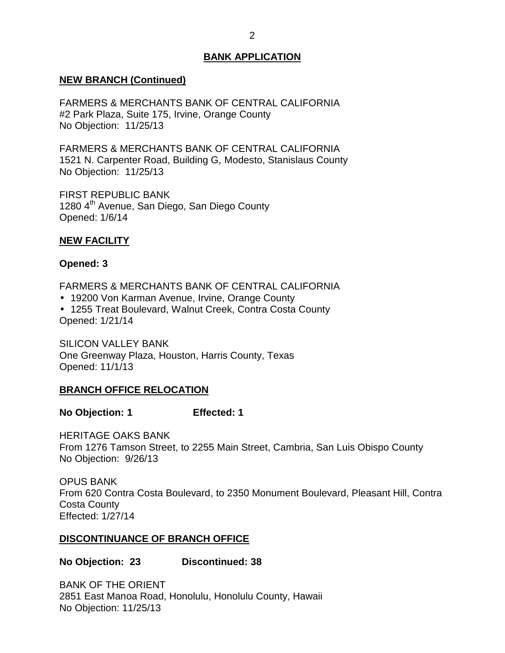#### <span id="page-2-0"></span>**NEW BRANCH (Continued)**

 FARMERS & MERCHANTS BANK OF CENTRAL CALIFORNIA #2 Park Plaza, Suite 175, Irvine, Orange County No Objection: 11/25/13

 FARMERS & MERCHANTS BANK OF CENTRAL CALIFORNIA 1521 N. Carpenter Road, Building G, Modesto, Stanislaus County No Objection: 11/25/13

1280 4<sup>th</sup> Avenue, San Diego, San Diego County FIRST REPUBLIC BANK Opened: 1/6/14

#### **NEW FACILITY**

#### **Opened: 3**

FARMERS & MERCHANTS BANK OF CENTRAL CALIFORNIA

- 19200 Von Karman Avenue, Irvine, Orange County
- 1255 Treat Boulevard, Walnut Creek, Contra Costa County Opened: 1/21/14

 One Greenway Plaza, Houston, Harris County, Texas SILICON VALLEY BANK Opened: 11/1/13

### **BRANCH OFFICE RELOCATION**

**No Objection: 1 Effected: 1** 

 HERITAGE OAKS BANK From 1276 Tamson Street, to 2255 Main Street, Cambria, San Luis Obispo County No Objection: 9/26/13

 From 620 Contra Costa Boulevard, to 2350 Monument Boulevard, Pleasant Hill, Contra OPUS BANK Costa County Effected: 1/27/14

### **DISCONTINUANCE OF BRANCH OFFICE**

### **No Objection: 23 Discontinued: 38**

 BANK OF THE ORIENT 2851 East Manoa Road, Honolulu, Honolulu County, Hawaii No Objection: 11/25/13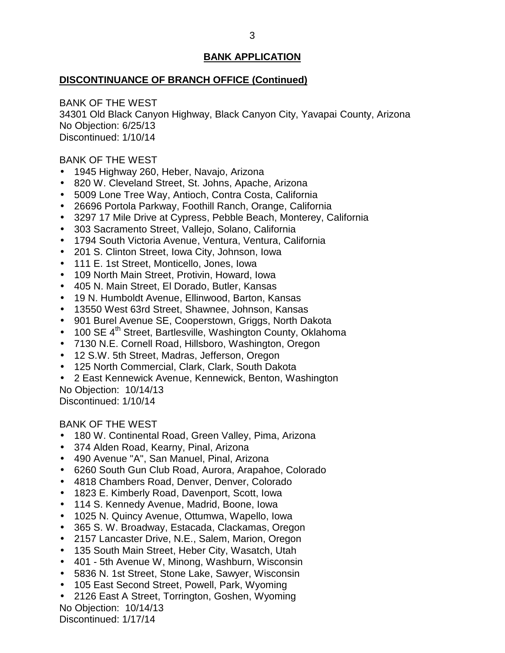#### **DISCONTINUANCE OF BRANCH OFFICE (Continued)**

 BANK OF THE WEST 34301 Old Black Canyon Highway, Black Canyon City, Yavapai County, Arizona No Objection: 6/25/13 Discontinued: 1/10/14

#### BANK OF THE WEST

- 1945 Highway 260, Heber, Navajo, Arizona
- 820 W. Cleveland Street, St. Johns, Apache, Arizona
- 5009 Lone Tree Way, Antioch, Contra Costa, California
- 26696 Portola Parkway, Foothill Ranch, Orange, California
- 3297 17 Mile Drive at Cypress, Pebble Beach, Monterey, California
- 303 Sacramento Street, Vallejo, Solano, California
- 1794 South Victoria Avenue, Ventura, Ventura, California
- 201 S. Clinton Street, Iowa City, Johnson, Iowa
- 111 E. 1st Street, Monticello, Jones, Iowa
- 109 North Main Street, Protivin, Howard, Iowa
- 405 N. Main Street, El Dorado, Butler, Kansas
- 19 N. Humboldt Avenue, Ellinwood, Barton, Kansas
- 13550 West 63rd Street, Shawnee, Johnson, Kansas
- 901 Burel Avenue SE, Cooperstown, Griggs, North Dakota
- $\bullet$  100 SE 4<sup>th</sup> Street, Bartlesville, Washington County, Oklahoma
- 7130 N.E. Cornell Road, Hillsboro, Washington, Oregon
- 12 S.W. 5th Street, Madras, Jefferson, Oregon
- 125 North Commercial, Clark, Clark, South Dakota
- 2 East Kennewick Avenue, Kennewick, Benton, Washington

No Objection: 10/14/13 Discontinued: 1/10/14

BANK OF THE WEST

- 180 W. Continental Road, Green Valley, Pima, Arizona
- 374 Alden Road, Kearny, Pinal, Arizona
- 490 Avenue "A", San Manuel, Pinal, Arizona
- 6260 South Gun Club Road, Aurora, Arapahoe, Colorado
- 4818 Chambers Road, Denver, Denver, Colorado
- 1823 E. Kimberly Road, Davenport, Scott, Iowa
- 114 S. Kennedy Avenue, Madrid, Boone, Iowa
- 1025 N. Quincy Avenue, Ottumwa, Wapello, Iowa
- 365 S. W. Broadway, Estacada, Clackamas, Oregon
- 2157 Lancaster Drive, N.E., Salem, Marion, Oregon
- 135 South Main Street, Heber City, Wasatch, Utah
- 401 5th Avenue W, Minong, Washburn, Wisconsin
- 5836 N. 1st Street, Stone Lake, Sawyer, Wisconsin
- 105 East Second Street, Powell, Park, Wyoming
- 2126 East A Street, Torrington, Goshen, Wyoming No Objection: 10/14/13

Discontinued: 1/17/14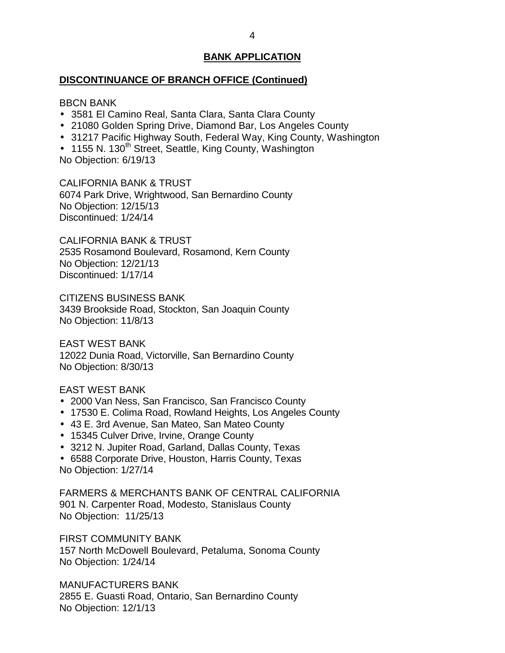#### **DISCONTINUANCE OF BRANCH OFFICE (Continued)**

#### BBCN BANK

- 3581 El Camino Real, Santa Clara, Santa Clara County
- 21080 Golden Spring Drive, Diamond Bar, Los Angeles County
- 31217 Pacific Highway South, Federal Way, King County, Washington

• 1155 N. 130<sup>th</sup> Street, Seattle, King County, Washington No Objection: 6/19/13

 CALIFORNIA BANK & TRUST 6074 Park Drive, Wrightwood, San Bernardino County No Objection: 12/15/13 Discontinued: 1/24/14

 CALIFORNIA BANK & TRUST 2535 Rosamond Boulevard, Rosamond, Kern County No Objection: 12/21/13 Discontinued: 1/17/14

 CITIZENS BUSINESS BANK 3439 Brookside Road, Stockton, San Joaquin County No Objection: 11/8/13

 12022 Dunia Road, Victorville, San Bernardino County EAST WEST BANK No Objection: 8/30/13

#### EAST WEST BANK

- 2000 Van Ness, San Francisco, San Francisco County
- 17530 E. Colima Road, Rowland Heights, Los Angeles County
- 43 E. 3rd Avenue, San Mateo, San Mateo County
- 15345 Culver Drive, Irvine, Orange County
- 3212 N. Jupiter Road, Garland, Dallas County, Texas
- 6588 Corporate Drive, Houston, Harris County, Texas No Objection: 1/27/14

 FARMERS & MERCHANTS BANK OF CENTRAL CALIFORNIA 901 N. Carpenter Road, Modesto, Stanislaus County No Objection: 11/25/13

FIRST COMMUNITY BANK

 157 North McDowell Boulevard, Petaluma, Sonoma County No Objection: 1/24/14

 2855 E. Guasti Road, Ontario, San Bernardino County MANUFACTURERS BANK No Objection: 12/1/13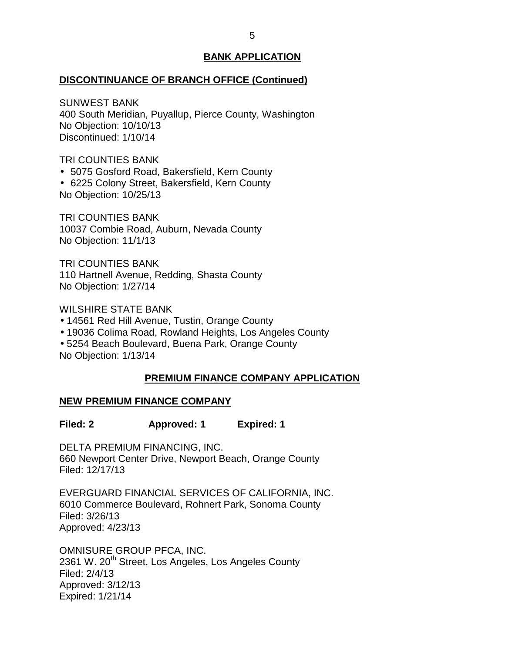#### <span id="page-5-0"></span>**DISCONTINUANCE OF BRANCH OFFICE (Continued)**

 400 South Meridian, Puyallup, Pierce County, Washington SUNWEST BANK No Objection: 10/10/13 Discontinued: 1/10/14

TRI COUNTIES BANK

5075 Gosford Road, Bakersfield, Kern County

 6225 Colony Street, Bakersfield, Kern County No Objection: 10/25/13

 10037 Combie Road, Auburn, Nevada County TRI COUNTIES BANK No Objection: 11/1/13

 110 Hartnell Avenue, Redding, Shasta County TRI COUNTIES BANK No Objection: 1/27/14

WILSHIRE STATE BANK

- 14561 Red Hill Avenue, Tustin, Orange County
- 19036 Colima Road, Rowland Heights, Los Angeles County

 5254 Beach Boulevard, Buena Park, Orange County No Objection: 1/13/14

# **PREMIUM FINANCE COMPANY APPLICATION**

#### **NEW PREMIUM FINANCE COMPANY**

**Filed: 2 Approved: 1 Expired: 1** 

 DELTA PREMIUM FINANCING, INC. 660 Newport Center Drive, Newport Beach, Orange County Filed: 12/17/13

 6010 Commerce Boulevard, Rohnert Park, Sonoma County EVERGUARD FINANCIAL SERVICES OF CALIFORNIA, INC. Filed: 3/26/13 Approved: 4/23/13

 OMNISURE GROUP PFCA, INC. 2361 W. 20<sup>th</sup> Street, Los Angeles, Los Angeles County Filed: 2/4/13 Approved: 3/12/13 Expired: 1/21/14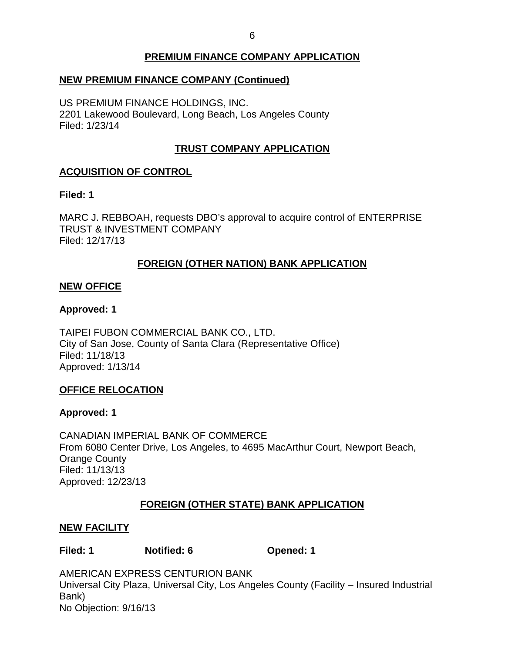# **PREMIUM FINANCE COMPANY APPLICATION**

# <span id="page-6-0"></span> **NEW PREMIUM FINANCE COMPANY (Continued)**

 US PREMIUM FINANCE HOLDINGS, INC. 2201 Lakewood Boulevard, Long Beach, Los Angeles County Filed: 1/23/14

# **TRUST COMPANY APPLICATION**

# **ACQUISITION OF CONTROL**

#### **Filed: 1**

 MARC J. REBBOAH, requests DBO's approval to acquire control of ENTERPRISE TRUST & INVESTMENT COMPANY Filed: 12/17/13

# **FOREIGN (OTHER NATION) BANK APPLICATION**

### **NEW OFFICE**

### **Approved: 1**

 TAIPEI FUBON COMMERCIAL BANK CO., LTD. City of San Jose, County of Santa Clara (Representative Office) Filed: 11/18/13 Approved: 1/13/14

### **OFFICE RELOCATION**

### **Approved: 1**

 CANADIAN IMPERIAL BANK OF COMMERCE From 6080 Center Drive, Los Angeles, to 4695 MacArthur Court, Newport Beach, Orange County Filed: 11/13/13 Approved: 12/23/13

### **FOREIGN (OTHER STATE) BANK APPLICATION**

### **NEW FACILITY**

# **Filed: 1 Notified: 6 Opened: 1**

 Universal City Plaza, Universal City, Los Angeles County (Facility – Insured Industrial AMERICAN EXPRESS CENTURION BANK Bank) No Objection: 9/16/13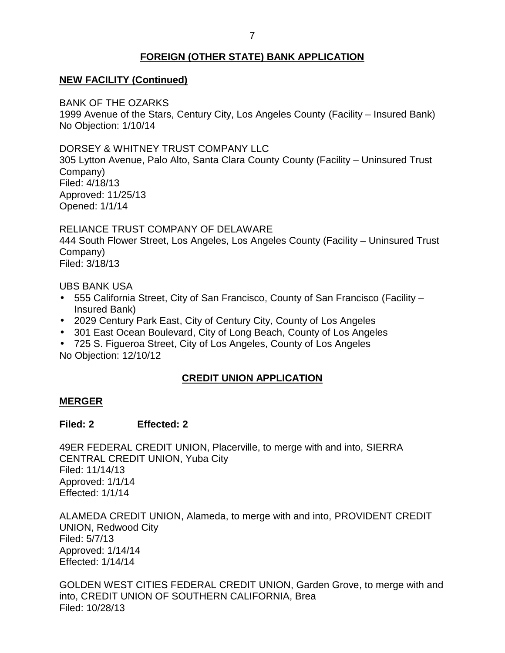# **FOREIGN (OTHER STATE) BANK APPLICATION**

# <span id="page-7-0"></span> **NEW FACILITY (Continued)**

BANK OF THE OZARKS

 1999 Avenue of the Stars, Century City, Los Angeles County (Facility – Insured Bank) No Objection: 1/10/14

DORSEY & WHITNEY TRUST COMPANY LLC

 305 Lytton Avenue, Palo Alto, Santa Clara County County (Facility – Uninsured Trust Company) Filed: 4/18/13 Approved: 11/25/13 Opened: 1/1/14

 RELIANCE TRUST COMPANY OF DELAWARE 444 South Flower Street, Los Angeles, Los Angeles County (Facility – Uninsured Trust Company) Filed: 3/18/13

UBS BANK USA

- 555 California Street, City of San Francisco, County of San Francisco (Facility Insured Bank)
- 2029 Century Park East, City of Century City, County of Los Angeles
- 301 East Ocean Boulevard, City of Long Beach, County of Los Angeles
- 725 S. Figueroa Street, City of Los Angeles, County of Los Angeles No Objection: 12/10/12

# **CREDIT UNION APPLICATION**

### **MERGER**

### **Filed: 2 Effected: 2**

 49ER FEDERAL CREDIT UNION, Placerville, to merge with and into, SIERRA CENTRAL CREDIT UNION, Yuba City Filed: 11/14/13 Approved: 1/1/14 Effected: 1/1/14

 ALAMEDA CREDIT UNION, Alameda, to merge with and into, PROVIDENT CREDIT UNION, Redwood City Filed: 5/7/13 Approved: 1/14/14 Effected: 1/14/14

 GOLDEN WEST CITIES FEDERAL CREDIT UNION, Garden Grove, to merge with and into, CREDIT UNION OF SOUTHERN CALIFORNIA, Brea Filed: 10/28/13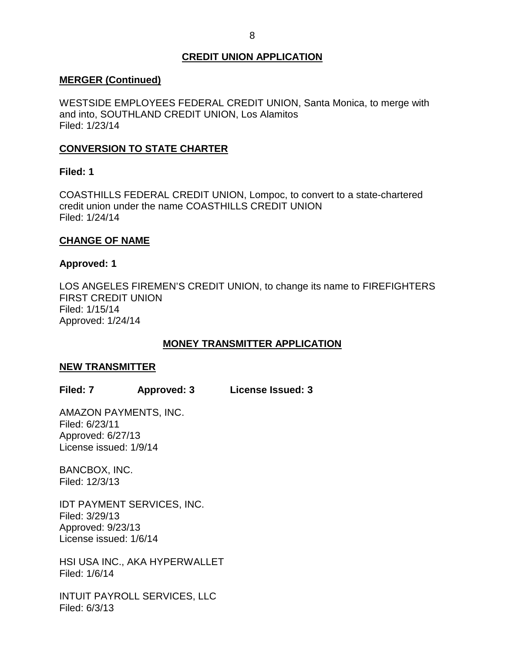### **CREDIT UNION APPLICATION**

#### <span id="page-8-0"></span>**MERGER (Continued)**

 WESTSIDE EMPLOYEES FEDERAL CREDIT UNION, Santa Monica, to merge with and into, SOUTHLAND CREDIT UNION, Los Alamitos Filed: 1/23/14

# **CONVERSION TO STATE CHARTER**

#### **Filed: 1**

 COASTHILLS FEDERAL CREDIT UNION, Lompoc, to convert to a state-chartered credit union under the name COASTHILLS CREDIT UNION Filed: 1/24/14

#### **CHANGE OF NAME**

#### **Approved: 1**

 LOS ANGELES FIREMEN'S CREDIT UNION, to change its name to FIREFIGHTERS FIRST CREDIT UNION Filed: 1/15/14 Approved: 1/24/14

### **MONEY TRANSMITTER APPLICATION**

#### **NEW TRANSMITTER**

**Filed: 7 Approved: 3 License Issued: 3** 

 License issued: 1/9/14 AMAZON PAYMENTS, INC. Filed: 6/23/11 Approved: 6/27/13

BANCBOX, INC. Filed: 12/3/13

 IDT PAYMENT SERVICES, INC. License issued: 1/6/14 Filed: 3/29/13 Approved: 9/23/13

 HSI USA INC., AKA HYPERWALLET Filed: 1/6/14

 INTUIT PAYROLL SERVICES, LLC Filed: 6/3/13